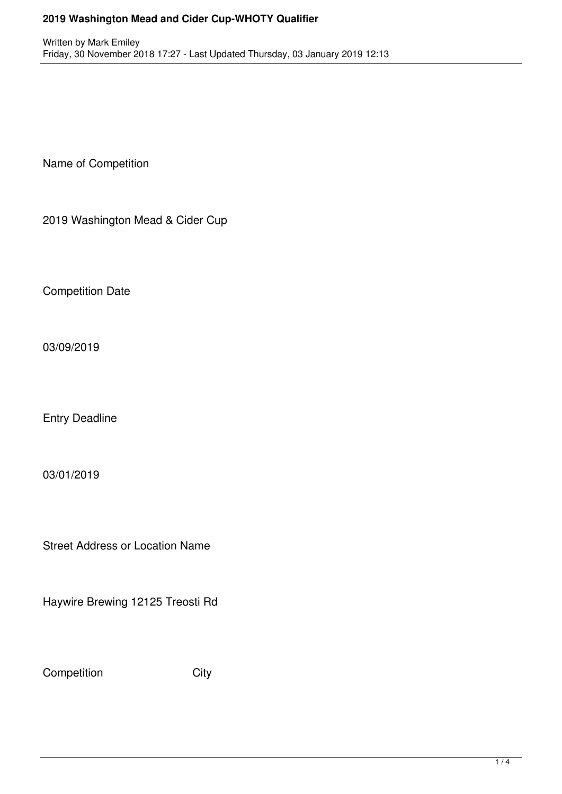## **2019 Washington Mead and Cider Cup-WHOTY Qualifier**

Name of Competition

2019 Washington Mead & Cider Cup

Competition Date

03/09/2019

Entry Deadline

03/01/2019

Street Address or Location Name

Haywire Brewing 12125 Treosti Rd

Competition City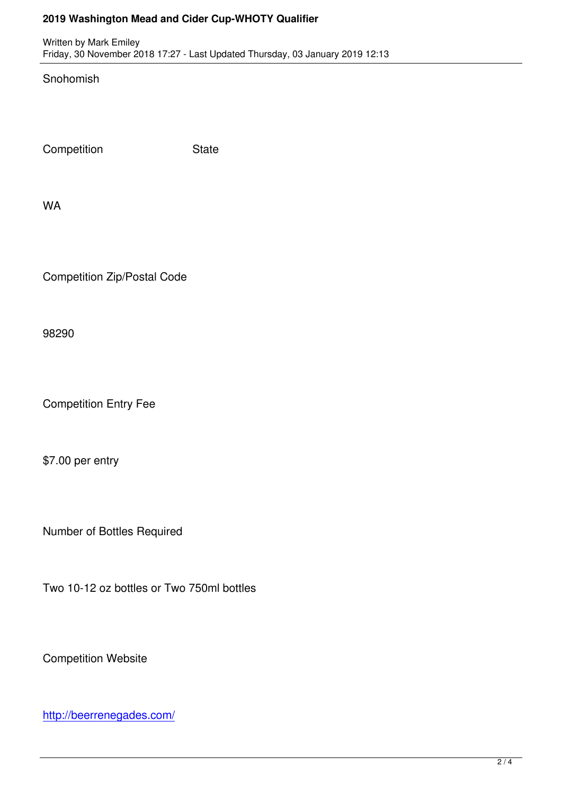Written by Mark Emiley, and the Mark Emiley, the Mark Emiley, the Mark Emiley, the Mark Emiley, the Mark Emil Friday, 30 November 2018 17:27 - Last Updated Thursday, 03 January 2019 12:13

Snohomish

Competition State

WA

Competition Zip/Postal Code

98290

Competition Entry Fee

\$7.00 per entry

Number of Bottles Required

Two 10-12 oz bottles or Two 750ml bottles

Competition Website

http://beerrenegades.com/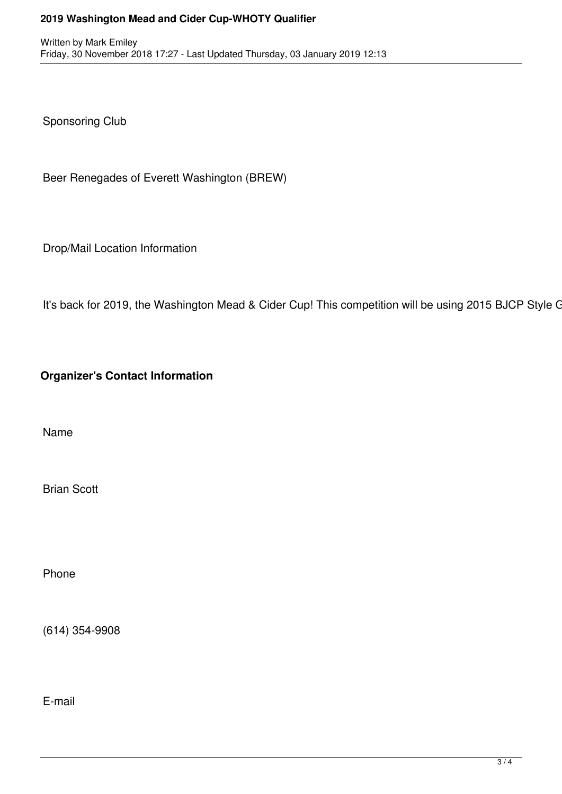## **2019 Washington Mead and Cider Cup-WHOTY Qualifier**

Sponsoring Club

Beer Renegades of Everett Washington (BREW)

Drop/Mail Location Information

It's back for 2019, the Washington Mead & Cider Cup! This competition will be using 2015 BJCP Style G

**Organizer's Contact Information** 

Name

Brian Scott

Phone

(614) 354-9908

E-mail